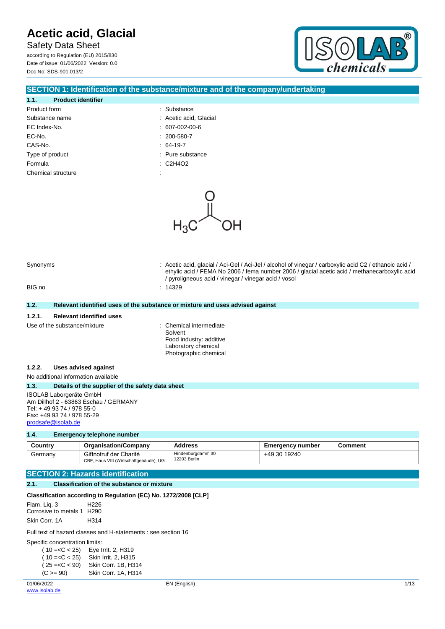Safety Data Sheet according to Regulation (EU) 2015/830 Date of issue: 01/06/2022 Version: 0.0 Doc No: SDS-901.013/2



### **SECTION 1: Identification of the substance/mixture and of the company/undertaking**

### **1.1. Product identifier** Product form  $\qquad \qquad$ : Substance Substance name  $\qquad \qquad$ : Acetic acid, Glacial EC Index-No. : 607-002-00-6 EC-No. : 200-580-7 CAS-No. : 64-19-7 Type of product and the substance in the substance of product Formula : C2H4O2

| product              |  |
|----------------------|--|
|                      |  |
| سندر بقسر بمطلب السا |  |

- 
- Chemical structure  $\cdot$  :



|        |                                                                                                                                    | ethylic acid / FEMA No 2006 / fema number 2006 / glacial acetic acid / methanecarboxylic acid<br>/ pyroligneous acid / vinegar / vinegar acid / vosol |  |  |
|--------|------------------------------------------------------------------------------------------------------------------------------------|-------------------------------------------------------------------------------------------------------------------------------------------------------|--|--|
| BIG no |                                                                                                                                    | : 14329                                                                                                                                               |  |  |
| 1.2.   |                                                                                                                                    | Relevant identified uses of the substance or mixture and uses advised against                                                                         |  |  |
| 1.2.1. | <b>Relevant identified uses</b>                                                                                                    |                                                                                                                                                       |  |  |
|        | Use of the substance/mixture                                                                                                       | : Chemical intermediate<br>Solvent<br>Food industry: additive<br>Laboratory chemical<br>Photographic chemical                                         |  |  |
| 1.2.2. | Uses advised against                                                                                                               |                                                                                                                                                       |  |  |
|        | No additional information available                                                                                                |                                                                                                                                                       |  |  |
| 1.3.   | Details of the supplier of the safety data sheet                                                                                   |                                                                                                                                                       |  |  |
|        | <b>ISOLAB Laborgeräte GmbH</b><br>Am Dillhof 2 - 63863 Eschau / GERMANY<br>Tel: +49 93 74 / 978 55-0<br>Fax: +49 93 74 / 978 55-29 |                                                                                                                                                       |  |  |

Synonyms **in the synonyms** : Acetic acid, glacial / Aci-Gel / Aci-Jel / alcohol of vinegar / carboxylic acid C2 / ethanoic acid /

#### **1.4. Emergency telephone number**

[prodsafe@isolab.de](mailto:prodsafe@isolab.de)

| Country | <b>Organisation/Company</b>                                      | <b>Address</b>                    | <b>Emergency number</b> | Comment |
|---------|------------------------------------------------------------------|-----------------------------------|-------------------------|---------|
| Germany | Giftnotruf der Charité<br>CBF, Haus VIII (Wirtschaftgebäude), UG | Hindenburgdamm 30<br>12203 Berlin | +49 30 19240            |         |

### **SECTION 2: Hazards identification**

### **2.1. Classification of the substance or mixture**

|                                            | Classification according to Regulation (EC) No. 1272/2008 [CLP] |
|--------------------------------------------|-----------------------------------------------------------------|
| Flam. Lig. 3<br>Corrosive to metals 1 H290 | H226                                                            |
| Skin Corr. 1A                              | H314                                                            |

Full text of hazard classes and H-statements : see section 16

Specific concentration limits:

| $(10=$          | Eye Irrit. 2, H319  |
|-----------------|---------------------|
| $(10=$          | Skin Irrit. 2, H315 |
| $(25 = C < 90)$ | Skin Corr. 1B, H314 |
| $(C >= 90)$     | Skin Corr. 1A, H314 |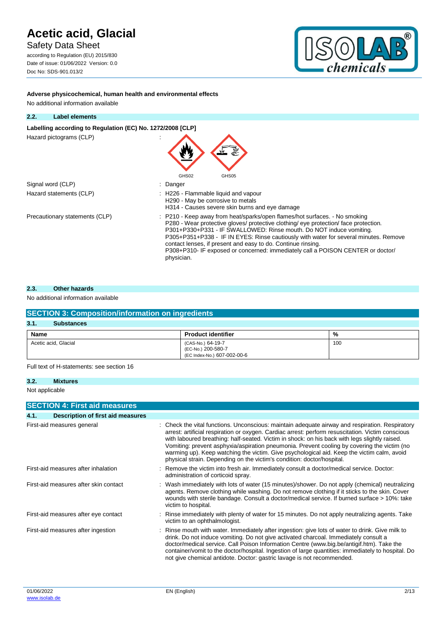Safety Data Sheet

according to Regulation (EU) 2015/830 Date of issue: 01/06/2022 Version: 0.0 Doc No: SDS-901.013/2



**Adverse physicochemical, human health and environmental effects**

| 2.2. | <b>Label elements</b>                                      |                                                                                                                                                                                                                                                                                                                                                                                                                                                                                                    |  |  |  |  |
|------|------------------------------------------------------------|----------------------------------------------------------------------------------------------------------------------------------------------------------------------------------------------------------------------------------------------------------------------------------------------------------------------------------------------------------------------------------------------------------------------------------------------------------------------------------------------------|--|--|--|--|
|      | Labelling according to Regulation (EC) No. 1272/2008 [CLP] |                                                                                                                                                                                                                                                                                                                                                                                                                                                                                                    |  |  |  |  |
|      | Hazard pictograms (CLP)                                    |                                                                                                                                                                                                                                                                                                                                                                                                                                                                                                    |  |  |  |  |
|      | Signal word (CLP)                                          | GHS02<br>GHS05<br>Danger                                                                                                                                                                                                                                                                                                                                                                                                                                                                           |  |  |  |  |
|      |                                                            |                                                                                                                                                                                                                                                                                                                                                                                                                                                                                                    |  |  |  |  |
|      | Hazard statements (CLP)                                    | : H226 - Flammable liquid and vapour<br>H290 - May be corrosive to metals<br>H314 - Causes severe skin burns and eye damage                                                                                                                                                                                                                                                                                                                                                                        |  |  |  |  |
|      | Precautionary statements (CLP)                             | : P210 - Keep away from heat/sparks/open flames/hot surfaces. - No smoking<br>P280 - Wear protective gloves/ protective clothing/ eye protection/ face protection.<br>P301+P330+P331 - IF SWALLOWED: Rinse mouth. Do NOT induce vomiting.<br>P305+P351+P338 - IF IN EYES: Rinse cautiously with water for several minutes. Remove<br>contact lenses, if present and easy to do. Continue rinsing.<br>P308+P310- IF exposed or concerned: immediately call a POISON CENTER or doctor/<br>physician. |  |  |  |  |

### **2.3. Other hazards**

### No additional information available

| <b>SECTION 3: Composition/information on ingredients</b> |                                                                        |     |  |  |
|----------------------------------------------------------|------------------------------------------------------------------------|-----|--|--|
| 3.1.<br><b>Substances</b>                                |                                                                        |     |  |  |
| Name                                                     | <b>Product identifier</b>                                              | %   |  |  |
| Acetic acid, Glacial                                     | (CAS-No.) 64-19-7<br>(EC-No.) 200-580-7<br>(EC Index-No.) 607-002-00-6 | 100 |  |  |

Full text of H-statements: see section 16

### **3.2. Mixtures**

Not applicable

|      | <b>SECTION 4: First aid measures</b>     |                                                                                                                                                                                                                                                                                                                                                                                                                                                                                                                                                                              |
|------|------------------------------------------|------------------------------------------------------------------------------------------------------------------------------------------------------------------------------------------------------------------------------------------------------------------------------------------------------------------------------------------------------------------------------------------------------------------------------------------------------------------------------------------------------------------------------------------------------------------------------|
| 4.1. | <b>Description of first aid measures</b> |                                                                                                                                                                                                                                                                                                                                                                                                                                                                                                                                                                              |
|      | First-aid measures general               | : Check the vital functions. Unconscious: maintain adequate airway and respiration. Respiratory<br>arrest: artificial respiration or oxygen. Cardiac arrest: perform resuscitation. Victim conscious<br>with laboured breathing: half-seated. Victim in shock: on his back with legs slightly raised.<br>Vomiting: prevent asphyxia/aspiration pneumonia. Prevent cooling by covering the victim (no<br>warming up). Keep watching the victim. Give psychological aid. Keep the victim calm, avoid<br>physical strain. Depending on the victim's condition: doctor/hospital. |
|      | First-aid measures after inhalation      | : Remove the victim into fresh air. Immediately consult a doctor/medical service. Doctor:<br>administration of corticoid spray.                                                                                                                                                                                                                                                                                                                                                                                                                                              |
|      | First-aid measures after skin contact    | : Wash immediately with lots of water (15 minutes)/shower. Do not apply (chemical) neutralizing<br>agents. Remove clothing while washing. Do not remove clothing if it sticks to the skin. Cover<br>wounds with sterile bandage. Consult a doctor/medical service. If burned surface > 10%: take<br>victim to hospital.                                                                                                                                                                                                                                                      |
|      | First-aid measures after eye contact     | : Rinse immediately with plenty of water for 15 minutes. Do not apply neutralizing agents. Take<br>victim to an ophthalmologist.                                                                                                                                                                                                                                                                                                                                                                                                                                             |
|      | First-aid measures after ingestion       | : Rinse mouth with water. Immediately after ingestion: give lots of water to drink. Give milk to<br>drink. Do not induce vomiting. Do not give activated charcoal. Immediately consult a<br>doctor/medical service. Call Poison Information Centre (www.big.be/antigif.htm). Take the<br>container/vomit to the doctor/hospital. Ingestion of large quantities: immediately to hospital. Do<br>not give chemical antidote. Doctor: gastric lavage is not recommended.                                                                                                        |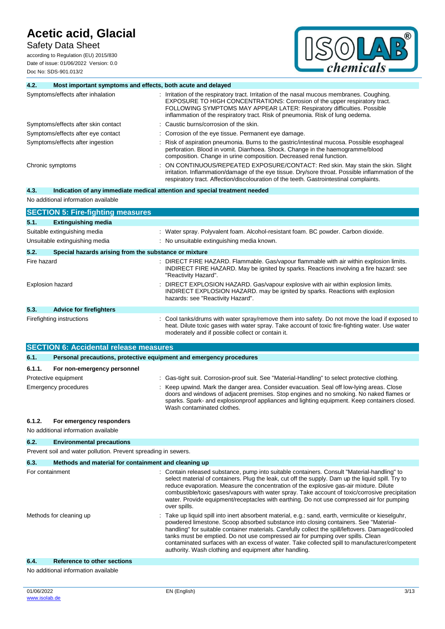Safety Data Sheet

according to Regulation (EU) 2015/830 Date of issue: 01/06/2022 Version: 0.0 Doc No: SDS-901.013/2



| 4.2.                    | Most important symptoms and effects, both acute and delayed         |                                                                                                                                                                                                                                                                                                                                                                                                                                                                                                            |  |  |
|-------------------------|---------------------------------------------------------------------|------------------------------------------------------------------------------------------------------------------------------------------------------------------------------------------------------------------------------------------------------------------------------------------------------------------------------------------------------------------------------------------------------------------------------------------------------------------------------------------------------------|--|--|
|                         | Symptoms/effects after inhalation                                   | : Irritation of the respiratory tract. Irritation of the nasal mucous membranes. Coughing.<br>EXPOSURE TO HIGH CONCENTRATIONS: Corrosion of the upper respiratory tract.<br>FOLLOWING SYMPTOMS MAY APPEAR LATER: Respiratory difficulties. Possible<br>inflammation of the respiratory tract. Risk of pneumonia. Risk of lung oedema.                                                                                                                                                                      |  |  |
|                         | Symptoms/effects after skin contact                                 | : Caustic burns/corrosion of the skin.                                                                                                                                                                                                                                                                                                                                                                                                                                                                     |  |  |
|                         | Symptoms/effects after eye contact                                  | Corrosion of the eye tissue. Permanent eye damage.                                                                                                                                                                                                                                                                                                                                                                                                                                                         |  |  |
|                         | Symptoms/effects after ingestion                                    | Risk of aspiration pneumonia. Burns to the gastric/intestinal mucosa. Possible esophageal<br>perforation. Blood in vomit. Diarrhoea. Shock. Change in the haemogramme/blood<br>composition. Change in urine composition. Decreased renal function.                                                                                                                                                                                                                                                         |  |  |
|                         | Chronic symptoms                                                    | ON CONTINUOUS/REPEATED EXPOSURE/CONTACT: Red skin. May stain the skin. Slight<br>irritation. Inflammation/damage of the eye tissue. Dry/sore throat. Possible inflammation of the<br>respiratory tract. Affection/discolouration of the teeth. Gastrointestinal complaints.                                                                                                                                                                                                                                |  |  |
| 4.3.                    |                                                                     | Indication of any immediate medical attention and special treatment needed                                                                                                                                                                                                                                                                                                                                                                                                                                 |  |  |
|                         | No additional information available                                 |                                                                                                                                                                                                                                                                                                                                                                                                                                                                                                            |  |  |
|                         | <b>SECTION 5: Fire-fighting measures</b>                            |                                                                                                                                                                                                                                                                                                                                                                                                                                                                                                            |  |  |
| 5.1.                    | <b>Extinguishing media</b>                                          |                                                                                                                                                                                                                                                                                                                                                                                                                                                                                                            |  |  |
|                         | Suitable extinguishing media                                        | : Water spray. Polyvalent foam. Alcohol-resistant foam. BC powder. Carbon dioxide.                                                                                                                                                                                                                                                                                                                                                                                                                         |  |  |
|                         | Unsuitable extinguishing media                                      | : No unsuitable extinguishing media known.                                                                                                                                                                                                                                                                                                                                                                                                                                                                 |  |  |
| 5.2.                    | Special hazards arising from the substance or mixture               |                                                                                                                                                                                                                                                                                                                                                                                                                                                                                                            |  |  |
| Fire hazard             |                                                                     | DIRECT FIRE HAZARD. Flammable. Gas/vapour flammable with air within explosion limits.<br>INDIRECT FIRE HAZARD. May be ignited by sparks. Reactions involving a fire hazard: see<br>"Reactivity Hazard".                                                                                                                                                                                                                                                                                                    |  |  |
| <b>Explosion hazard</b> |                                                                     | DIRECT EXPLOSION HAZARD. Gas/vapour explosive with air within explosion limits.<br>INDIRECT EXPLOSION HAZARD. may be ignited by sparks. Reactions with explosion<br>hazards: see "Reactivity Hazard".                                                                                                                                                                                                                                                                                                      |  |  |
| 5.3.                    | <b>Advice for firefighters</b>                                      |                                                                                                                                                                                                                                                                                                                                                                                                                                                                                                            |  |  |
|                         | Firefighting instructions                                           | : Cool tanks/drums with water spray/remove them into safety. Do not move the load if exposed to<br>heat. Dilute toxic gases with water spray. Take account of toxic fire-fighting water. Use water<br>moderately and if possible collect or contain it.                                                                                                                                                                                                                                                    |  |  |
|                         | <b>SECTION 6: Accidental release measures</b>                       |                                                                                                                                                                                                                                                                                                                                                                                                                                                                                                            |  |  |
| 6.1.                    | Personal precautions, protective equipment and emergency procedures |                                                                                                                                                                                                                                                                                                                                                                                                                                                                                                            |  |  |
| 6.1.1.                  | For non-emergency personnel                                         |                                                                                                                                                                                                                                                                                                                                                                                                                                                                                                            |  |  |
|                         | Protective equipment                                                | : Gas-tight suit. Corrosion-proof suit. See "Material-Handling" to select protective clothing.                                                                                                                                                                                                                                                                                                                                                                                                             |  |  |
|                         | <b>Emergency procedures</b>                                         | Keep upwind. Mark the danger area. Consider evacuation. Seal off low-lying areas. Close<br>doors and windows of adjacent premises. Stop engines and no smoking. No naked flames or<br>sparks. Spark- and explosionproof appliances and lighting equipment. Keep containers closed.<br>Wash contaminated clothes.                                                                                                                                                                                           |  |  |
| 6.1.2.                  | For emergency responders<br>No additional information available     |                                                                                                                                                                                                                                                                                                                                                                                                                                                                                                            |  |  |
| 6.2.                    | <b>Environmental precautions</b>                                    |                                                                                                                                                                                                                                                                                                                                                                                                                                                                                                            |  |  |
|                         | Prevent soil and water pollution. Prevent spreading in sewers.      |                                                                                                                                                                                                                                                                                                                                                                                                                                                                                                            |  |  |
| 6.3.                    | Methods and material for containment and cleaning up                |                                                                                                                                                                                                                                                                                                                                                                                                                                                                                                            |  |  |
|                         | For containment                                                     | : Contain released substance, pump into suitable containers. Consult "Material-handling" to<br>select material of containers. Plug the leak, cut off the supply. Dam up the liquid spill. Try to<br>reduce evaporation. Measure the concentration of the explosive gas-air mixture. Dilute<br>combustible/toxic gases/vapours with water spray. Take account of toxic/corrosive precipitation<br>water. Provide equipment/receptacles with earthing. Do not use compressed air for pumping<br>over spills. |  |  |
| Methods for cleaning up |                                                                     | Take up liquid spill into inert absorbent material, e.g.: sand, earth, vermiculite or kieselguhr,<br>powdered limestone. Scoop absorbed substance into closing containers. See "Material-<br>handling" for suitable container materials. Carefully collect the spill/leftovers. Damaged/cooled<br>tanks must be emptied. Do not use compressed air for pumping over spills. Clean                                                                                                                          |  |  |

contaminated surfaces with an excess of water. Take collected spill to manufacturer/competent

authority. Wash clothing and equipment after handling.

#### No additional information available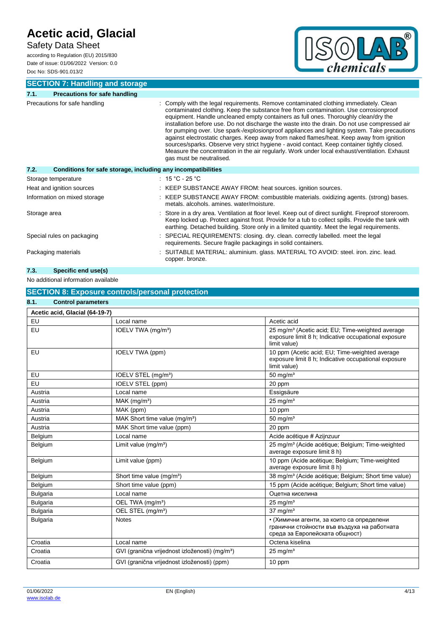### Safety Data Sheet

according to Regulation (EU) 2015/830 Date of issue: 01/06/2022 Version: 0.0 Doc No: SDS-901.013/2



**SECTION 7: Handling and storage**

| 7.1.                         | <b>Precautions for safe handling</b>                         |                                                                                                                                                                                                                                                                                                                                                                                                                                                                                                                                                                                                                                                                                                                                                                                              |
|------------------------------|--------------------------------------------------------------|----------------------------------------------------------------------------------------------------------------------------------------------------------------------------------------------------------------------------------------------------------------------------------------------------------------------------------------------------------------------------------------------------------------------------------------------------------------------------------------------------------------------------------------------------------------------------------------------------------------------------------------------------------------------------------------------------------------------------------------------------------------------------------------------|
|                              | Precautions for safe handling                                | Comply with the legal requirements. Remove contaminated clothing immediately. Clean<br>contaminated clothing. Keep the substance free from contamination. Use corrosionproof<br>equipment. Handle uncleaned empty containers as full ones. Thoroughly clean/dry the<br>installation before use. Do not discharge the waste into the drain. Do not use compressed air<br>for pumping over. Use spark-/explosionproof appliances and lighting system. Take precautions<br>against electrostatic charges. Keep away from naked flames/heat. Keep away from ignition<br>sources/sparks. Observe very strict hygiene - avoid contact. Keep container tightly closed.<br>Measure the concentration in the air regularly. Work under local exhaust/ventilation. Exhaust<br>gas must be neutralised. |
| 7.2.                         | Conditions for safe storage, including any incompatibilities |                                                                                                                                                                                                                                                                                                                                                                                                                                                                                                                                                                                                                                                                                                                                                                                              |
|                              | Storage temperature                                          | : $15 °C - 25 °C$                                                                                                                                                                                                                                                                                                                                                                                                                                                                                                                                                                                                                                                                                                                                                                            |
|                              | Heat and ignition sources                                    | : KEEP SUBSTANCE AWAY FROM: heat sources. ignition sources.                                                                                                                                                                                                                                                                                                                                                                                                                                                                                                                                                                                                                                                                                                                                  |
| Information on mixed storage |                                                              | : KEEP SUBSTANCE AWAY FROM: combustible materials. oxidizing agents. (strong) bases.<br>metals, alcohols, amines, water/moisture.                                                                                                                                                                                                                                                                                                                                                                                                                                                                                                                                                                                                                                                            |
| Storage area                 |                                                              | Store in a dry area. Ventilation at floor level. Keep out of direct sunlight. Fireproof storeroom.<br>Keep locked up. Protect against frost. Provide for a tub to collect spills. Provide the tank with<br>earthing. Detached building. Store only in a limited quantity. Meet the legal requirements.                                                                                                                                                                                                                                                                                                                                                                                                                                                                                       |
|                              | Special rules on packaging                                   | SPECIAL REQUIREMENTS: closing. dry. clean. correctly labelled. meet the legal<br>requirements. Secure fragile packagings in solid containers.                                                                                                                                                                                                                                                                                                                                                                                                                                                                                                                                                                                                                                                |
| Packaging materials          |                                                              | : SUITABLE MATERIAL: aluminium. glass. MATERIAL TO AVOID: steel. iron. zinc. lead.<br>copper. bronze.                                                                                                                                                                                                                                                                                                                                                                                                                                                                                                                                                                                                                                                                                        |

### **7.3. Specific end use(s)**

### No additional information available

### **SECTION 8: Exposure controls/personal protection 8.1. Control parameters**

| Acetic acid, Glacial (64-19-7)       |                                                            |                                                                                                                                      |  |  |  |
|--------------------------------------|------------------------------------------------------------|--------------------------------------------------------------------------------------------------------------------------------------|--|--|--|
| EU                                   | Local name                                                 | Acetic acid                                                                                                                          |  |  |  |
| EU<br>IOELV TWA (mg/m <sup>3</sup> ) |                                                            | 25 mg/m <sup>3</sup> (Acetic acid; EU; Time-weighted average<br>exposure limit 8 h; Indicative occupational exposure<br>limit value) |  |  |  |
| EU                                   | IOELV TWA (ppm)                                            | 10 ppm (Acetic acid; EU; Time-weighted average<br>exposure limit 8 h; Indicative occupational exposure<br>limit value)               |  |  |  |
| EU                                   | IOELV STEL (mg/m <sup>3</sup> )                            | $50$ mg/m <sup>3</sup>                                                                                                               |  |  |  |
| EU                                   | IOELV STEL (ppm)                                           | 20 ppm                                                                                                                               |  |  |  |
| Austria                              | Local name                                                 | Essigsäure                                                                                                                           |  |  |  |
| Austria                              | $MAK$ (mg/m <sup>3</sup> )                                 | $25 \text{ mg/m}^3$                                                                                                                  |  |  |  |
| Austria                              | MAK (ppm)                                                  | 10 ppm                                                                                                                               |  |  |  |
| Austria                              | MAK Short time value (mg/m <sup>3</sup> )                  | $50 \text{ mg/m}^3$                                                                                                                  |  |  |  |
| Austria                              | MAK Short time value (ppm)                                 | 20 ppm                                                                                                                               |  |  |  |
| Belgium                              | Local name                                                 | Acide acétique # Azijnzuur                                                                                                           |  |  |  |
| Belgium                              | Limit value (mg/m <sup>3</sup> )                           | 25 mg/m <sup>3</sup> (Acide acétique; Belgium; Time-weighted<br>average exposure limit 8 h)                                          |  |  |  |
| Belgium                              | Limit value (ppm)                                          | 10 ppm (Acide acétique; Belgium; Time-weighted<br>average exposure limit 8 h)                                                        |  |  |  |
| Belgium                              | Short time value (mg/m <sup>3</sup> )                      | 38 mg/m <sup>3</sup> (Acide acétique; Belgium; Short time value)                                                                     |  |  |  |
| Belgium                              | Short time value (ppm)                                     | 15 ppm (Acide acétique; Belgium; Short time value)                                                                                   |  |  |  |
| <b>Bulgaria</b>                      | Local name                                                 | Оцетна киселина                                                                                                                      |  |  |  |
| <b>Bulgaria</b>                      | OEL TWA (mg/m <sup>3</sup> )                               | $25$ mg/m <sup>3</sup>                                                                                                               |  |  |  |
| <b>Bulgaria</b>                      | OEL STEL (mg/m <sup>3</sup> )                              | $37 \text{ mg/m}^3$                                                                                                                  |  |  |  |
| <b>Bulgaria</b>                      | <b>Notes</b>                                               | • (Химични агенти, за които са определени<br>гранични стойности във въздуха на работната<br>среда за Европейската общност)           |  |  |  |
| Croatia                              | Local name                                                 | Octena kiselina                                                                                                                      |  |  |  |
| Croatia                              | GVI (granična vrijednost izloženosti) (mg/m <sup>3</sup> ) | $25 \text{ mg/m}^3$                                                                                                                  |  |  |  |
| Croatia                              | GVI (granična vrijednost izloženosti) (ppm)                | 10 ppm                                                                                                                               |  |  |  |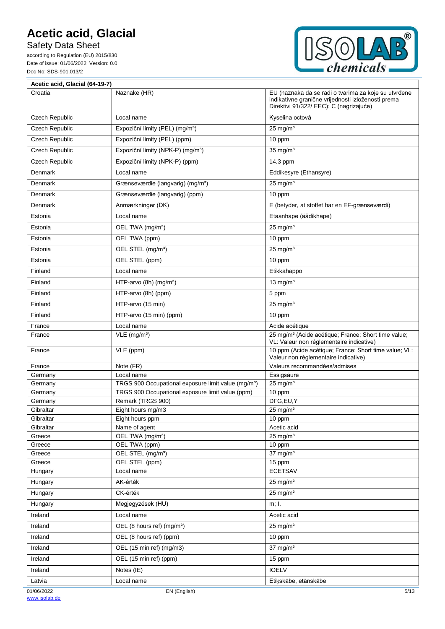Safety Data Sheet

according to Regulation (EU) 2015/830 Date of issue: 01/06/2022 Version: 0.0 Doc No: SDS-901.013/2



| Acetic acid, Glacial (64-19-7) |                                                                       |                                                                                                                                                       |  |
|--------------------------------|-----------------------------------------------------------------------|-------------------------------------------------------------------------------------------------------------------------------------------------------|--|
| Croatia                        | Naznake (HR)                                                          | EU (naznaka da se radi o tvarima za koje su utvrđene<br>indikativne granične vrijednosti izloženosti prema<br>Direktivi 91/322/ EEC); C (nagrizajuće) |  |
| Czech Republic                 | Local name                                                            | Kyselina octová                                                                                                                                       |  |
| Czech Republic                 | Expoziční limity (PEL) (mg/m <sup>3</sup> )                           | $25$ mg/m <sup>3</sup>                                                                                                                                |  |
| <b>Czech Republic</b>          | Expoziční limity (PEL) (ppm)                                          | 10 ppm                                                                                                                                                |  |
| <b>Czech Republic</b>          | Expoziční limity (NPK-P) (mg/m <sup>3</sup> )                         | $35 \text{ mg/m}^3$                                                                                                                                   |  |
| <b>Czech Republic</b>          | Expoziční limity (NPK-P) (ppm)                                        | 14.3 ppm                                                                                                                                              |  |
| Denmark                        | Local name                                                            | Eddikesyre (Ethansyre)                                                                                                                                |  |
| Denmark                        | Grænseværdie (langvarig) (mg/m <sup>3</sup> )                         | $25$ mg/m <sup>3</sup>                                                                                                                                |  |
| Denmark                        | Grænseværdie (langvarig) (ppm)                                        | 10 ppm                                                                                                                                                |  |
| Denmark                        | Anmærkninger (DK)                                                     | E (betyder, at stoffet har en EF-grænseværdi)                                                                                                         |  |
| Estonia                        | Local name                                                            | Etaanhape (äädikhape)                                                                                                                                 |  |
| Estonia                        | OEL TWA (mg/m <sup>3</sup> )                                          | $25$ mg/m <sup>3</sup>                                                                                                                                |  |
| Estonia                        | OEL TWA (ppm)                                                         | 10 ppm                                                                                                                                                |  |
| Estonia                        | OEL STEL (mg/m <sup>3</sup> )                                         | $25$ mg/m <sup>3</sup>                                                                                                                                |  |
| Estonia                        | OEL STEL (ppm)                                                        | 10 ppm                                                                                                                                                |  |
| Finland                        | Local name                                                            | Etikkahappo                                                                                                                                           |  |
| Finland                        | HTP-arvo (8h) (mg/m <sup>3</sup> )                                    | 13 mg/ $m3$                                                                                                                                           |  |
|                                |                                                                       |                                                                                                                                                       |  |
| Finland                        | HTP-arvo (8h) (ppm)                                                   | 5 ppm                                                                                                                                                 |  |
| Finland                        | HTP-arvo (15 min)                                                     | $25$ mg/m <sup>3</sup>                                                                                                                                |  |
| Finland                        | HTP-arvo (15 min) (ppm)                                               | 10 ppm                                                                                                                                                |  |
| France                         | Local name                                                            | Acide acétique                                                                                                                                        |  |
| France                         | $VLE$ (mg/m <sup>3</sup> )                                            | 25 mg/m <sup>3</sup> (Acide acétique; France; Short time value;<br>VL: Valeur non réglementaire indicative)                                           |  |
| France                         | VLE (ppm)                                                             | 10 ppm (Acide acétique; France; Short time value; VL:<br>Valeur non réglementaire indicative)                                                         |  |
| France                         | Note (FR)                                                             | Valeurs recommandées/admises                                                                                                                          |  |
| Germany                        | Local name                                                            | Essigsäure                                                                                                                                            |  |
| Germany                        | TRGS 900 Occupational exposure limit value (mg/m <sup>3</sup> )       | $25$ mg/m <sup>3</sup>                                                                                                                                |  |
| Germany<br>Germany             | TRGS 900 Occupational exposure limit value (ppm)<br>Remark (TRGS 900) | 10 ppm<br>DFG,EU,Y                                                                                                                                    |  |
| Gibraltar                      | Eight hours mg/m3                                                     | $25$ mg/m <sup>3</sup>                                                                                                                                |  |
| Gibraltar                      | Eight hours ppm                                                       | 10 ppm                                                                                                                                                |  |
| Gibraltar                      | Name of agent                                                         | Acetic acid                                                                                                                                           |  |
| Greece                         | OEL TWA (mg/m <sup>3</sup> )                                          | $25$ mg/m <sup>3</sup>                                                                                                                                |  |
| Greece                         | OEL TWA (ppm)                                                         | 10 ppm                                                                                                                                                |  |
| Greece                         | OEL STEL (mg/m <sup>3</sup> )                                         | $37$ mg/m <sup>3</sup>                                                                                                                                |  |
| Greece<br>Hungary              | OEL STEL (ppm)<br>Local name                                          | 15 ppm<br><b>ECETSAV</b>                                                                                                                              |  |
| Hungary                        | AK-érték                                                              | $25$ mg/m <sup>3</sup>                                                                                                                                |  |
|                                | CK-érték                                                              | $25$ mg/m <sup>3</sup>                                                                                                                                |  |
| Hungary                        |                                                                       |                                                                                                                                                       |  |
| Hungary                        | Megjegyzések (HU)                                                     | m; I.                                                                                                                                                 |  |
| Ireland                        | Local name                                                            | Acetic acid                                                                                                                                           |  |
| Ireland                        | OEL (8 hours ref) (mg/m <sup>3</sup> )                                | $25$ mg/m <sup>3</sup>                                                                                                                                |  |
| Ireland                        | OEL (8 hours ref) (ppm)                                               | 10 ppm                                                                                                                                                |  |
| Ireland                        | OEL (15 min ref) (mg/m3)                                              | $37$ mg/m <sup>3</sup>                                                                                                                                |  |
| Ireland                        | OEL (15 min ref) (ppm)                                                | 15 ppm                                                                                                                                                |  |
| Ireland                        | Notes (IE)                                                            | <b>IOELV</b>                                                                                                                                          |  |
| Latvia                         | Local name                                                            | Etikskābe, etānskābe                                                                                                                                  |  |
| 01/06/2022                     | EN (English)                                                          | 5/13                                                                                                                                                  |  |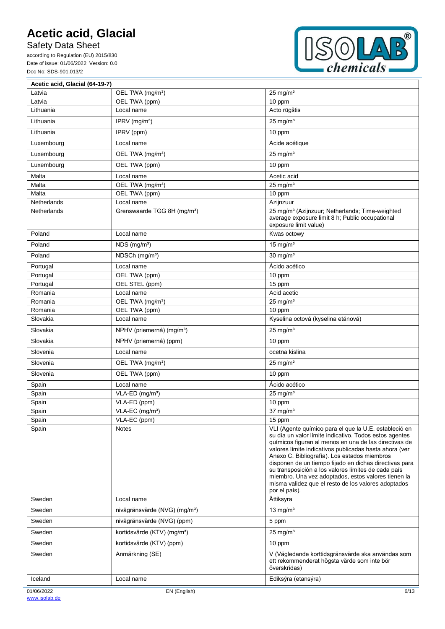Safety Data Sheet

Ē

according to Regulation (EU) 2015/830 Date of issue: 01/06/2022 Version: 0.0 Doc No: SDS-901.013/2



 $\overline{\mathbf{1}}$ 

| Acetic acid, Glacial (64-19-7) |                                           |                                                                                                                                                                                                                                                                                                                                                                                                                                                                                                                                    |
|--------------------------------|-------------------------------------------|------------------------------------------------------------------------------------------------------------------------------------------------------------------------------------------------------------------------------------------------------------------------------------------------------------------------------------------------------------------------------------------------------------------------------------------------------------------------------------------------------------------------------------|
| Latvia                         | OEL TWA (mg/m <sup>3</sup> )              | $25 \text{ mg/m}^3$                                                                                                                                                                                                                                                                                                                                                                                                                                                                                                                |
| Latvia                         | OEL TWA (ppm)                             | 10 ppm                                                                                                                                                                                                                                                                                                                                                                                                                                                                                                                             |
| Lithuania                      | Local name                                | Acto rūgštis                                                                                                                                                                                                                                                                                                                                                                                                                                                                                                                       |
| Lithuania                      | IPRV (mg/m <sup>3</sup> )                 | $25$ mg/m <sup>3</sup>                                                                                                                                                                                                                                                                                                                                                                                                                                                                                                             |
| Lithuania                      | IPRV (ppm)                                | 10 ppm                                                                                                                                                                                                                                                                                                                                                                                                                                                                                                                             |
| Luxembourg                     | Local name                                | Acide acétique                                                                                                                                                                                                                                                                                                                                                                                                                                                                                                                     |
| Luxembourg                     | OEL TWA (mg/m <sup>3</sup> )              | $25$ mg/m <sup>3</sup>                                                                                                                                                                                                                                                                                                                                                                                                                                                                                                             |
| Luxembourg                     | OEL TWA (ppm)                             | 10 ppm                                                                                                                                                                                                                                                                                                                                                                                                                                                                                                                             |
| Malta                          | Local name                                | Acetic acid                                                                                                                                                                                                                                                                                                                                                                                                                                                                                                                        |
| Malta                          | OEL TWA (mg/m <sup>3</sup> )              | $25 \text{ ma/m}^3$                                                                                                                                                                                                                                                                                                                                                                                                                                                                                                                |
| Malta                          | OEL TWA (ppm)                             | 10 ppm                                                                                                                                                                                                                                                                                                                                                                                                                                                                                                                             |
| Netherlands                    | Local name                                | Azijnzuur                                                                                                                                                                                                                                                                                                                                                                                                                                                                                                                          |
| Netherlands                    | Grenswaarde TGG 8H (mg/m <sup>3</sup> )   | 25 mg/m <sup>3</sup> (Azijnzuur; Netherlands; Time-weighted<br>average exposure limit 8 h; Public occupational<br>exposure limit value)                                                                                                                                                                                                                                                                                                                                                                                            |
| Poland                         | Local name                                | Kwas octowy                                                                                                                                                                                                                                                                                                                                                                                                                                                                                                                        |
| Poland                         | NDS (mg/m <sup>3</sup> )                  | 15 mg/ $m3$                                                                                                                                                                                                                                                                                                                                                                                                                                                                                                                        |
| Poland                         | NDSCh (mg/m <sup>3</sup> )                | $30$ mg/m <sup>3</sup>                                                                                                                                                                                                                                                                                                                                                                                                                                                                                                             |
| Portugal                       | Local name                                | Ácido acético                                                                                                                                                                                                                                                                                                                                                                                                                                                                                                                      |
| Portugal                       | OEL TWA (ppm)                             | 10 ppm                                                                                                                                                                                                                                                                                                                                                                                                                                                                                                                             |
| Portugal                       | OEL STEL (ppm)                            | 15 ppm                                                                                                                                                                                                                                                                                                                                                                                                                                                                                                                             |
| Romania                        | Local name                                | Acid acetic                                                                                                                                                                                                                                                                                                                                                                                                                                                                                                                        |
| Romania                        | OEL TWA (mg/m <sup>3</sup> )              | $25$ mg/m <sup>3</sup>                                                                                                                                                                                                                                                                                                                                                                                                                                                                                                             |
| Romania                        | OEL TWA (ppm)                             | 10 ppm                                                                                                                                                                                                                                                                                                                                                                                                                                                                                                                             |
| Slovakia                       | Local name                                | Kyselina octová (kyselina etánová)                                                                                                                                                                                                                                                                                                                                                                                                                                                                                                 |
| Slovakia                       | NPHV (priemerná) (mg/m <sup>3</sup> )     | $25$ mg/m <sup>3</sup>                                                                                                                                                                                                                                                                                                                                                                                                                                                                                                             |
| Slovakia                       | NPHV (priemerná) (ppm)                    | 10 ppm                                                                                                                                                                                                                                                                                                                                                                                                                                                                                                                             |
| Slovenia                       | Local name                                | ocetna kislina                                                                                                                                                                                                                                                                                                                                                                                                                                                                                                                     |
| Slovenia                       | OEL TWA (mg/m <sup>3</sup> )              | $25$ mg/m <sup>3</sup>                                                                                                                                                                                                                                                                                                                                                                                                                                                                                                             |
| Slovenia                       | OEL TWA (ppm)                             | 10 ppm                                                                                                                                                                                                                                                                                                                                                                                                                                                                                                                             |
| Spain                          | Local name                                | Ácido acético                                                                                                                                                                                                                                                                                                                                                                                                                                                                                                                      |
| Spain                          | VLA-ED (mg/m <sup>3</sup> )               | $25 \text{ mg/m}^3$                                                                                                                                                                                                                                                                                                                                                                                                                                                                                                                |
| Spain                          | VLA-ED (ppm)                              | 10 ppm                                                                                                                                                                                                                                                                                                                                                                                                                                                                                                                             |
| Spain                          | VLA-EC (mg/m <sup>3</sup> )               | $37$ mg/m <sup>3</sup>                                                                                                                                                                                                                                                                                                                                                                                                                                                                                                             |
| Spain                          | VLA-EC (ppm)                              | 15 ppm                                                                                                                                                                                                                                                                                                                                                                                                                                                                                                                             |
| Spain                          | <b>Notes</b>                              | VLI (Agente químico para el que la U.E. estableció en<br>su día un valor límite indicativo. Todos estos agentes<br>químicos figuran al menos en una de las directivas de<br>valores límite indicativos publicadas hasta ahora (ver<br>Anexo C. Bibliografía). Los estados miembros<br>disponen de un tiempo fijado en dichas directivas para<br>su transposición a los valores límites de cada país<br>miembro. Una vez adoptados, estos valores tienen la<br>misma validez que el resto de los valores adoptados<br>por el país). |
| Sweden                         | Local name                                | Ättiksyra                                                                                                                                                                                                                                                                                                                                                                                                                                                                                                                          |
| Sweden                         | nivågränsvärde (NVG) (mg/m <sup>3</sup> ) | 13 mg/ $m3$                                                                                                                                                                                                                                                                                                                                                                                                                                                                                                                        |
| Sweden                         | nivågränsvärde (NVG) (ppm)                | 5 ppm                                                                                                                                                                                                                                                                                                                                                                                                                                                                                                                              |
| Sweden                         | kortidsvärde (KTV) (mg/m <sup>3</sup> )   | $25$ mg/m <sup>3</sup>                                                                                                                                                                                                                                                                                                                                                                                                                                                                                                             |
| Sweden                         | kortidsvärde (KTV) (ppm)                  | 10 ppm                                                                                                                                                                                                                                                                                                                                                                                                                                                                                                                             |
| Sweden                         | Anmärkning (SE)                           | V (Vägledande korttidsgränsvärde ska användas som<br>ett rekommenderat högsta värde som inte bör<br>överskridas)                                                                                                                                                                                                                                                                                                                                                                                                                   |
| Iceland                        | Local name                                | Ediksýra (etansýra)                                                                                                                                                                                                                                                                                                                                                                                                                                                                                                                |
| 01/06/2022                     | EN (English)                              | 6/13                                                                                                                                                                                                                                                                                                                                                                                                                                                                                                                               |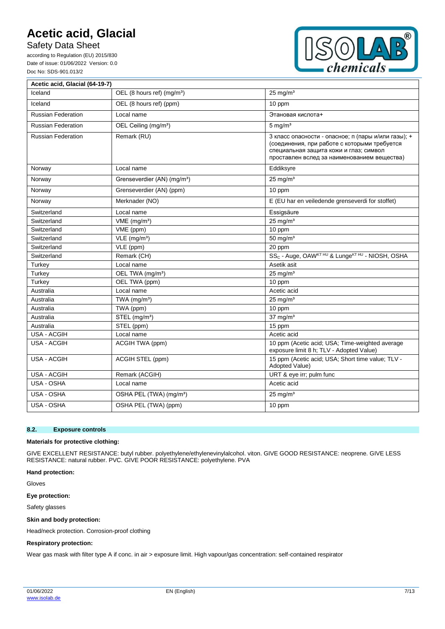Safety Data Sheet

according to Regulation (EU) 2015/830 Date of issue: 01/06/2022 Version: 0.0 Doc No: SDS-901.013/2



| Acetic acid, Glacial (64-19-7) |                                         |                                                                                                                                                                                              |
|--------------------------------|-----------------------------------------|----------------------------------------------------------------------------------------------------------------------------------------------------------------------------------------------|
| Iceland                        | OEL (8 hours ref) (mg/m <sup>3</sup> )  | $25 \text{ mg/m}^3$                                                                                                                                                                          |
| Iceland                        | OEL (8 hours ref) (ppm)                 | 10 ppm                                                                                                                                                                                       |
| Russian Federation             | Local name                              | Этановая кислота+                                                                                                                                                                            |
| <b>Russian Federation</b>      | OEL Ceiling (mg/m <sup>3</sup> )        | $5 \text{ mg/m}^3$                                                                                                                                                                           |
| <b>Russian Federation</b>      | Remark (RU)                             | 3 класс опасности - опасное; п (пары и/или газы); +<br>(соединения, при работе с которыми требуется<br>специальная защита кожи и глаз; символ<br>проставлен вслед за наименованием вещества) |
| Norway                         | Local name                              | Eddiksyre                                                                                                                                                                                    |
| Norway                         | Grenseverdier (AN) (mg/m <sup>3</sup> ) | $25$ mg/m <sup>3</sup>                                                                                                                                                                       |
| Norway                         | Grenseverdier (AN) (ppm)                | 10 ppm                                                                                                                                                                                       |
| Norway                         | Merknader (NO)                          | E (EU har en veiledende grenseverdi for stoffet)                                                                                                                                             |
| Switzerland                    | Local name                              | Essigsäure                                                                                                                                                                                   |
| Switzerland                    | VME (mg/m <sup>3</sup> )                | $25$ mg/m <sup>3</sup>                                                                                                                                                                       |
| Switzerland                    | VME (ppm)                               | 10 ppm                                                                                                                                                                                       |
| Switzerland                    | $VLE$ (mg/m <sup>3</sup> )              | 50 mg/ $m3$                                                                                                                                                                                  |
| Switzerland                    | VLE (ppm)                               | 20 ppm                                                                                                                                                                                       |
| Switzerland                    | Remark (CH)                             | SS <sub>C</sub> - Auge, OAW <sup>KT HU</sup> & Lunge <sup>KT HU</sup> - NIOSH, OSHA                                                                                                          |
| Turkey                         | Local name                              | Asetik asit                                                                                                                                                                                  |
| Turkey                         | OEL TWA (mg/m <sup>3</sup> )            | $25$ mg/m <sup>3</sup>                                                                                                                                                                       |
| Turkey                         | OEL TWA (ppm)                           | 10 ppm                                                                                                                                                                                       |
| Australia                      | Local name                              | Acetic acid                                                                                                                                                                                  |
| Australia                      | TWA (mg/m <sup>3</sup> )                | $25$ mg/m <sup>3</sup>                                                                                                                                                                       |
| Australia                      | TWA (ppm)                               | 10 ppm                                                                                                                                                                                       |
| Australia                      | STEL (mg/m <sup>3</sup> )               | $37$ mg/m <sup>3</sup>                                                                                                                                                                       |
| Australia                      | STEL (ppm)                              | 15 ppm                                                                                                                                                                                       |
| <b>USA - ACGIH</b>             | Local name                              | Acetic acid                                                                                                                                                                                  |
| <b>USA - ACGIH</b>             | ACGIH TWA (ppm)                         | 10 ppm (Acetic acid; USA; Time-weighted average<br>exposure limit 8 h; TLV - Adopted Value)                                                                                                  |
| <b>USA - ACGIH</b>             | ACGIH STEL (ppm)                        | 15 ppm (Acetic acid; USA; Short time value; TLV -<br>Adopted Value)                                                                                                                          |
| <b>USA - ACGIH</b>             | Remark (ACGIH)                          | URT & eye irr; pulm func                                                                                                                                                                     |
| USA - OSHA                     | Local name                              | Acetic acid                                                                                                                                                                                  |
| USA - OSHA                     | OSHA PEL (TWA) (mg/m <sup>3</sup> )     | $25 \text{ mg/m}^3$                                                                                                                                                                          |
| USA - OSHA                     | OSHA PEL (TWA) (ppm)                    | 10 ppm                                                                                                                                                                                       |

#### **8.2. Exposure controls**

#### **Materials for protective clothing:**

GIVE EXCELLENT RESISTANCE: butyl rubber. polyethylene/ethylenevinylalcohol. viton. GIVE GOOD RESISTANCE: neoprene. GIVE LESS RESISTANCE: natural rubber. PVC. GIVE POOR RESISTANCE: polyethylene. PVA

#### **Hand protection:**

Gloves

**Eye protection:**

Safety glasses

#### **Skin and body protection:**

Head/neck protection. Corrosion-proof clothing

#### **Respiratory protection:**

Wear gas mask with filter type A if conc. in air > exposure limit. High vapour/gas concentration: self-contained respirator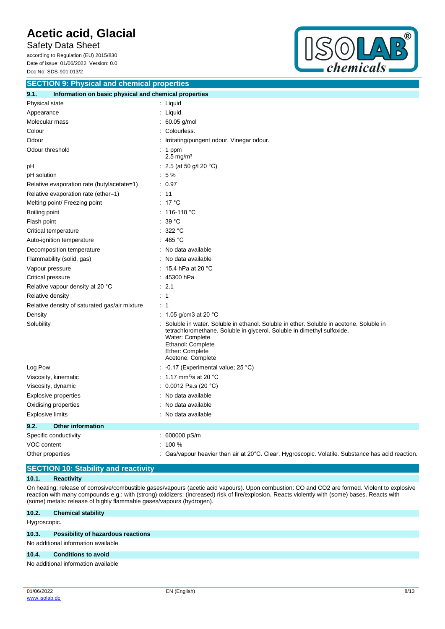Safety Data Sheet according to Regulation (EU) 2015/830

Date of issue: 01/06/2022 Version: 0.0 Doc No: SDS-901.013/2



| <b>SECTION 9: Physical and chemical properties</b>            |                                                                                                                                                                                                                                                   |  |  |  |
|---------------------------------------------------------------|---------------------------------------------------------------------------------------------------------------------------------------------------------------------------------------------------------------------------------------------------|--|--|--|
| 9.1.<br>Information on basic physical and chemical properties |                                                                                                                                                                                                                                                   |  |  |  |
| Physical state                                                | : Liquid                                                                                                                                                                                                                                          |  |  |  |
| Appearance                                                    | Liquid.                                                                                                                                                                                                                                           |  |  |  |
| Molecular mass                                                | 60.05 g/mol                                                                                                                                                                                                                                       |  |  |  |
| Colour                                                        | Colourless.                                                                                                                                                                                                                                       |  |  |  |
| Odour                                                         | Irritating/pungent odour. Vinegar odour.                                                                                                                                                                                                          |  |  |  |
| Odour threshold                                               | $: 1$ ppm<br>$2.5 \text{ mg/m}^3$                                                                                                                                                                                                                 |  |  |  |
| рH                                                            | 2.5 (at 50 g/l 20 °C)                                                                                                                                                                                                                             |  |  |  |
| pH solution                                                   | $:5\%$                                                                                                                                                                                                                                            |  |  |  |
| Relative evaporation rate (butylacetate=1)                    | : 0.97                                                                                                                                                                                                                                            |  |  |  |
| Relative evaporation rate (ether=1)                           | : 11                                                                                                                                                                                                                                              |  |  |  |
| Melting point/ Freezing point                                 | $: 17^{\circ}$ C                                                                                                                                                                                                                                  |  |  |  |
| Boiling point                                                 | 116-118 °C                                                                                                                                                                                                                                        |  |  |  |
| Flash point                                                   | 39 °C                                                                                                                                                                                                                                             |  |  |  |
| Critical temperature                                          | 322 °C<br>÷                                                                                                                                                                                                                                       |  |  |  |
| Auto-ignition temperature                                     | 485 °C                                                                                                                                                                                                                                            |  |  |  |
| Decomposition temperature                                     | No data available                                                                                                                                                                                                                                 |  |  |  |
| Flammability (solid, gas)                                     | No data available                                                                                                                                                                                                                                 |  |  |  |
| Vapour pressure                                               | 15.4 hPa at 20 °C                                                                                                                                                                                                                                 |  |  |  |
| Critical pressure                                             | 45300 hPa                                                                                                                                                                                                                                         |  |  |  |
| Relative vapour density at 20 °C                              | : 2.1                                                                                                                                                                                                                                             |  |  |  |
| <b>Relative density</b>                                       | : 1                                                                                                                                                                                                                                               |  |  |  |
| Relative density of saturated gas/air mixture                 | : 1                                                                                                                                                                                                                                               |  |  |  |
| Density                                                       | : 1.05 g/cm3 at 20 $^{\circ}$ C                                                                                                                                                                                                                   |  |  |  |
| Solubility                                                    | Soluble in water. Soluble in ethanol. Soluble in ether. Soluble in acetone. Soluble in<br>tetrachloromethane. Soluble in glycerol. Soluble in dimethyl sulfoxide.<br>Water: Complete<br>Ethanol: Complete<br>Ether: Complete<br>Acetone: Complete |  |  |  |
| Log Pow                                                       | -0.17 (Experimental value; 25 °C)                                                                                                                                                                                                                 |  |  |  |
| Viscosity, kinematic                                          | 1.17 mm <sup>2</sup> /s at 20 $^{\circ}$ C                                                                                                                                                                                                        |  |  |  |
| Viscosity, dynamic                                            | 0.0012 Pa.s (20 $°C$ )                                                                                                                                                                                                                            |  |  |  |
| Explosive properties                                          | No data available                                                                                                                                                                                                                                 |  |  |  |
| Oxidising properties                                          | No data available                                                                                                                                                                                                                                 |  |  |  |
| <b>Explosive limits</b>                                       | No data available                                                                                                                                                                                                                                 |  |  |  |
| 9.2.<br><b>Other information</b>                              |                                                                                                                                                                                                                                                   |  |  |  |
| Specific conductivity                                         | 600000 pS/m                                                                                                                                                                                                                                       |  |  |  |
| VOC content                                                   | 100 %                                                                                                                                                                                                                                             |  |  |  |
| Other properties                                              | Gas/vapour heavier than air at 20°C. Clear. Hygroscopic. Volatile. Substance has acid reaction.                                                                                                                                                   |  |  |  |

### **SECTION 10: Stability and reactivity**

### **10.1. Reactivity**

On heating: release of corrosive/combustible gases/vapours (acetic acid vapours). Upon combustion: CO and CO2 are formed. Violent to explosive reaction with many compounds e.g.: with (strong) oxidizers: (increased) risk of fire/explosion. Reacts violently with (some) bases. Reacts with (some) metals: release of highly flammable gases/vapours (hydrogen).

### **10.2. Chemical stability**

Hygroscopic.

#### **10.3. Possibility of hazardous reactions**

No additional information available

#### **10.4. Conditions to avoid**

No additional information available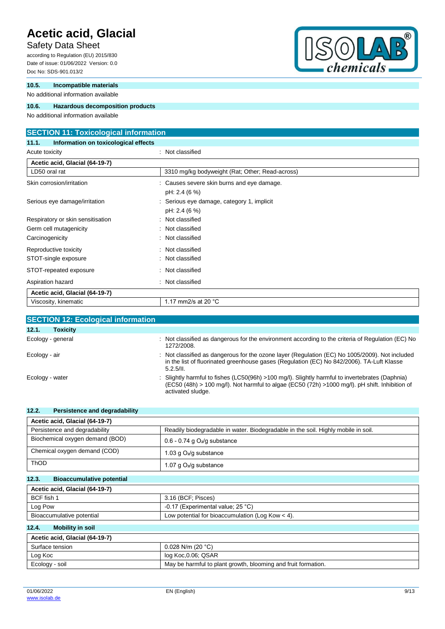### Safety Data Sheet

according to Regulation (EU) 2015/830 Date of issue: 01/06/2022 Version: 0.0 Doc No: SDS-901.013/2

### **10.5. Incompatible materials**

No additional information available

### **10.6. Hazardous decomposition products**

No additional information available

### **SECTION 11: Toxicological information**

**11.1. Information on toxicological effects** Acute toxicity **in the case of the contract of the case of the contract of the contract of the contract of the contract of the contract of the contract of the contract of the contract of the contract of the contract of the** 

| Acetic acid, Glacial (64-19-7)    |                                                           |  |
|-----------------------------------|-----------------------------------------------------------|--|
| LD50 oral rat                     | 3310 mg/kg bodyweight (Rat; Other; Read-across)           |  |
| Skin corrosion/irritation         | Causes severe skin burns and eye damage.<br>pH: 2.4 (6 %) |  |
| Serious eye damage/irritation     | Serious eye damage, category 1, implicit<br>pH: 2.4 (6 %) |  |
| Respiratory or skin sensitisation | : Not classified                                          |  |
| Germ cell mutagenicity            | : Not classified                                          |  |
| Carcinogenicity                   | : Not classified                                          |  |
| Reproductive toxicity             | : Not classified                                          |  |
| STOT-single exposure              | : Not classified                                          |  |
| STOT-repeated exposure            | : Not classified                                          |  |
| Aspiration hazard                 | Not classified<br>÷                                       |  |
| Acetic acid, Glacial (64-19-7)    |                                                           |  |
| Viscosity, kinematic              | 1.17 mm2/s at 20 $^{\circ}$ C                             |  |

| <b>SECTION 12: Ecological information</b> |                                                                                                                                                                                                                      |
|-------------------------------------------|----------------------------------------------------------------------------------------------------------------------------------------------------------------------------------------------------------------------|
| 12.1.<br><b>Toxicity</b>                  |                                                                                                                                                                                                                      |
| Ecology - general                         | Not classified as dangerous for the environment according to the criteria of Regulation (EC) No<br>1272/2008.                                                                                                        |
| Ecology - air                             | : Not classified as dangerous for the ozone layer (Regulation (EC) No 1005/2009). Not included<br>in the list of fluorinated greenhouse gases (Regulation (EC) No 842/2006). TA-Luft Klasse<br>5.2.5/II.             |
| Ecology - water                           | Slightly harmful to fishes (LC50(96h) >100 mg/l). Slightly harmful to invertebrates (Daphnia)<br>(EC50 (48h) > 100 mg/l). Not harmful to algae (EC50 (72h) >1000 mg/l). pH shift. Inhibition of<br>activated sludge. |

| 12.2.<br>Persistence and degradability    |                                                                                   |
|-------------------------------------------|-----------------------------------------------------------------------------------|
| Acetic acid, Glacial (64-19-7)            |                                                                                   |
| Persistence and degradability             | Readily biodegradable in water. Biodegradable in the soil. Highly mobile in soil. |
| Biochemical oxygen demand (BOD)           | $0.6 - 0.74$ g $O2/g$ substance                                                   |
| Chemical oxygen demand (COD)              | 1.03 g $O_2$ /g substance                                                         |
| <b>ThOD</b>                               | 1.07 g $O_2$ /g substance                                                         |
| 12.3.<br><b>Bioaccumulative potential</b> |                                                                                   |

### **Acetic acid, Glacial (64-19-7)**

| ACCIIC dCIU, OIdCIAI (04-19-7) |                                                    |  |
|--------------------------------|----------------------------------------------------|--|
| BCF fish 1                     | 3.16 (BCF: Pisces)                                 |  |
| Log Pow                        | -0.17 (Experimental value; $25^{\circ}$ C)         |  |
| Bioaccumulative potential      | Low potential for bioaccumulation (Log Kow $<$ 4). |  |

### **12.4. Mobility in soil**

| Acetic acid, Glacial (64-19-7) |                                                               |  |
|--------------------------------|---------------------------------------------------------------|--|
| Surface tension                | $0.028$ N/m (20 °C)                                           |  |
| Log Koc                        | log Koc, 0.06; QSAR                                           |  |
| Ecology - soil                 | May be harmful to plant growth, blooming and fruit formation. |  |



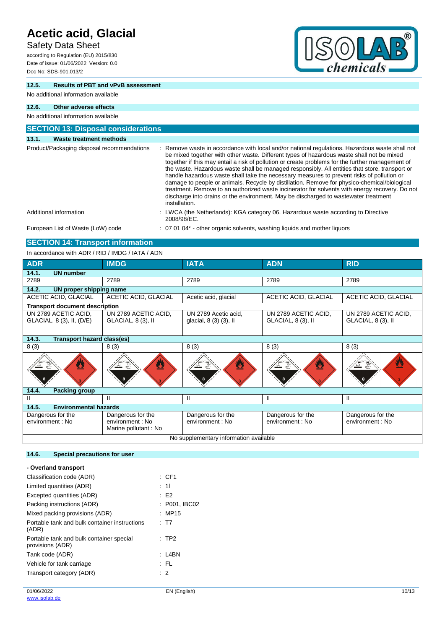### Safety Data Sheet

according to Regulation (EU) 2015/830 Date of issue: 01/06/2022 Version: 0.0 Doc No: SDS-901.013/2



### **12.5. Results of PBT and vPvB assessment**

No additional information available

#### **12.6. Other adverse effects**

#### No additional information available **SECTION 13: Disposal considerations 13.1. Waste treatment methods** Product/Packaging disposal recommendations : Remove waste in accordance with local and/or national regulations. Hazardous waste shall not be mixed together with other waste. Different types of hazardous waste shall not be mixed together if this may entail a risk of pollution or create problems for the further management of the waste. Hazardous waste shall be managed responsibly. All entities that store, transport or handle hazardous waste shall take the necessary measures to prevent risks of pollution or damage to people or animals. Recycle by distillation. Remove for physico-chemical/biological treatment. Remove to an authorized waste incinerator for solvents with energy recovery. Do not discharge into drains or the environment. May be discharged to wastewater treatment installation. Additional information **information** : LWCA (the Netherlands): KGA category 06. Hazardous waste according to Directive 2008/98/EC. European List of Waste (LoW) code : 07 01 04\* - other organic solvents, washing liquids and mother liquors

### **SECTION 14: Transport information**

In accordance with ADR / RID / IMDG / IATA / ADN

| <b>ADR</b>                              | <b>IMDG</b>          | <b>IATA</b>            | <b>ADN</b>           | <b>RID</b>                  |
|-----------------------------------------|----------------------|------------------------|----------------------|-----------------------------|
| 14.1.<br><b>UN number</b>               |                      |                        |                      |                             |
| 2789                                    | 2789                 | 2789                   | 2789                 | 2789                        |
| 14.2.<br><b>UN proper shipping name</b> |                      |                        |                      |                             |
| <b>ACETIC ACID, GLACIAL</b>             | ACETIC ACID, GLACIAL | Acetic acid, glacial   | ACETIC ACID, GLACIAL | <b>ACETIC ACID, GLACIAL</b> |
| <b>Transport document description</b>   |                      |                        |                      |                             |
| UN 2789 ACETIC ACID,                    | UN 2789 ACETIC ACID, | UN 2789 Acetic acid,   | UN 2789 ACETIC ACID. | UN 2789 ACETIC ACID.        |
| GLACIAL, 8 (3), II, (D/E)               | GLACIAL, 8 (3), II   | glacial, 8 (3) (3), II | GLACIAL, 8 (3), II   | GLACIAL, 8 (3), II          |
|                                         |                      |                        |                      |                             |
| 14.3.<br>Transport hazard class(es)     |                      |                        |                      |                             |
| 8(3)                                    | 8(3)                 | 8(3)                   | 8(3)                 | 8(3)                        |
| ै                                       | ፵                    | ै                      | Ø                    | <u>V</u>                    |
| 14.4.<br><b>Packing group</b>           |                      |                        |                      |                             |
| Ш.                                      | Ш                    | Ш                      | Ш                    | $\mathbf{H}$                |
| <b>Environmental hazards</b><br>14.5.   |                      |                        |                      |                             |
| Dangerous for the                       | Dangerous for the    | Dangerous for the      | Dangerous for the    | Dangerous for the           |
| environment : No                        | environment : No     | environment : No       | environment : No     | environment : No            |
|                                         | Marine pollutant: No |                        |                      |                             |
| No supplementary information available  |                      |                        |                      |                             |

### **14.6. Special precautions for user**

| - Overland transport                                         |               |
|--------------------------------------------------------------|---------------|
| Classification code (ADR)                                    | : CF1         |
| Limited quantities (ADR)                                     | : 11          |
| Excepted quantities (ADR)                                    | : E2          |
| Packing instructions (ADR)                                   | : P001, IBC02 |
| Mixed packing provisions (ADR)                               | : MP15        |
| Portable tank and bulk container instructions<br>(ADR)       | : T7          |
| Portable tank and bulk container special<br>provisions (ADR) | $:$ TP2       |
| Tank code (ADR)                                              | $: 14$ BN     |
| Vehicle for tank carriage                                    | : FL          |
| Transport category (ADR)                                     | $\cdot$ 2     |
|                                                              |               |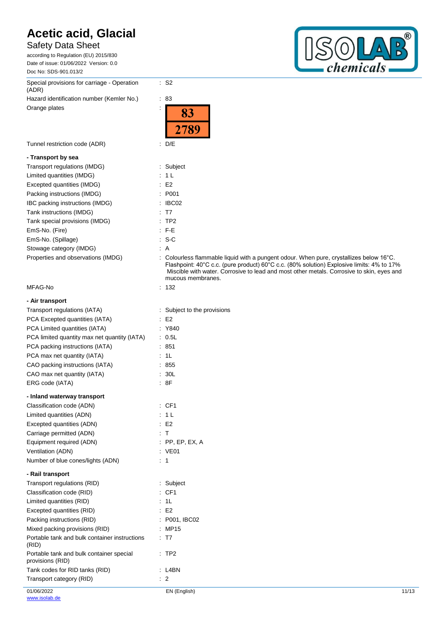### Safety Data Sheet

according to Regulation (EU) 2015/830 Date of issue: 01/06/2022 Version: 0.0 Doc No: SDS-901.013/2

Special provisions for carriage - Operation (ADR) Hazard identification number (Kemler No.) : 83

Orange plates in the state of the state of the state of the state of the state of the state of the state of the state of the state of the state of the state of the state of the state of the state of the state of the state

### **- Transport by sea**

| Transport regulations (IMDG)       | : Subject |
|------------------------------------|-----------|
| Limited quantities (IMDG)          | : 1 L     |
| Excepted quantities (IMDG)         | E2        |
| Packing instructions (IMDG)        | : P001    |
| IBC packing instructions (IMDG)    | : IBCO2   |
| Tank instructions (IMDG)           | : T7      |
| Tank special provisions (IMDG)     | :TP2      |
| EmS-No. (Fire)                     | $\pm$ F-E |
| EmS-No. (Spillage)                 | $: S-C$   |
| Stowage category (IMDG)            | : A       |
| Properties and observations (IMDG) | : Colourk |

### MFAG-No

### **- Air transport**

| Transport regulations (IATA)<br>PCA Excepted quantities (IATA)<br>PCA Limited quantities (IATA)<br>PCA limited quantity max net quantity (IATA)<br>PCA packing instructions (IATA)<br>PCA max net quantity (IATA) |    | Subject to the provisions<br>E <sub>2</sub><br>Y840<br>: 0.5L<br>851<br>1L |
|-------------------------------------------------------------------------------------------------------------------------------------------------------------------------------------------------------------------|----|----------------------------------------------------------------------------|
| CAO packing instructions (IATA)<br>CAO max net quantity (IATA)                                                                                                                                                    |    | 855<br>: 30L                                                               |
| ERG code (IATA)                                                                                                                                                                                                   |    | :8F                                                                        |
| - Inland waterway transport                                                                                                                                                                                       |    |                                                                            |
| Classification code (ADN)                                                                                                                                                                                         |    | :CF1                                                                       |
| Limited quantities (ADN)                                                                                                                                                                                          |    | 1 <sub>L</sub>                                                             |
| Excepted quantities (ADN)                                                                                                                                                                                         |    | E2                                                                         |
| Carriage permitted (ADN)                                                                                                                                                                                          |    | : T                                                                        |
| Equipment required (ADN)                                                                                                                                                                                          |    | $:$ PP, EP, EX, A                                                          |
| Ventilation (ADN)                                                                                                                                                                                                 |    | : VE01                                                                     |
| Number of blue cones/lights (ADN)                                                                                                                                                                                 |    | 1                                                                          |
| - Rail transport                                                                                                                                                                                                  |    |                                                                            |
| Transport regulations (RID)                                                                                                                                                                                       | t. | Subject                                                                    |
| Classification code (RID)                                                                                                                                                                                         |    | CF <sub>1</sub>                                                            |
| Limited quantities (RID)                                                                                                                                                                                          |    | 1L                                                                         |
| Excepted quantities (RID)                                                                                                                                                                                         |    | E2                                                                         |
| Packing instructions (RID)                                                                                                                                                                                        |    | : P001, IBC02                                                              |
| Mixed packing provisions (RID)                                                                                                                                                                                    |    | MP15                                                                       |
| Portable tank and bulk container instructions<br>(RID)                                                                                                                                                            |    | T7                                                                         |
| Portable tank and bulk container special<br>provisions (RID)                                                                                                                                                      |    | TP <sub>2</sub>                                                            |
| Tank codes for RID tanks (RID)                                                                                                                                                                                    |    | L4BN                                                                       |
| Transport category (RID)                                                                                                                                                                                          |    | $\therefore$ 2                                                             |



|                                    | 2789                                                                                                                                                                                                                                                                                                             |
|------------------------------------|------------------------------------------------------------------------------------------------------------------------------------------------------------------------------------------------------------------------------------------------------------------------------------------------------------------|
| Tunnel restriction code (ADR)      | : D/E                                                                                                                                                                                                                                                                                                            |
| - Transport by sea                 |                                                                                                                                                                                                                                                                                                                  |
| Transport regulations (IMDG)       | : Subject                                                                                                                                                                                                                                                                                                        |
| Limited quantities (IMDG)          | : 1 L                                                                                                                                                                                                                                                                                                            |
| Excepted quantities (IMDG)         | $\cdot$ E2                                                                                                                                                                                                                                                                                                       |
| Packing instructions (IMDG)        | : P <sub>001</sub>                                                                                                                                                                                                                                                                                               |
| IBC packing instructions (IMDG)    | : IBCO2                                                                                                                                                                                                                                                                                                          |
| Tank instructions (IMDG)           | $\therefore$ T7                                                                                                                                                                                                                                                                                                  |
| Tank special provisions (IMDG)     | $:$ TP2                                                                                                                                                                                                                                                                                                          |
| EmS-No. (Fire)                     | $F-E$                                                                                                                                                                                                                                                                                                            |
| EmS-No. (Spillage)                 | $: S-C$                                                                                                                                                                                                                                                                                                          |
| Stowage category (IMDG)            | : A                                                                                                                                                                                                                                                                                                              |
| Properties and observations (IMDG) | : Colourless flammable liquid with a pungent odour. When pure, crystallizes below $16^{\circ}$ C.<br>Flashpoint: 40°C c.c. (pure product) 60°C c.c. (80% solution) Explosive limits: 4% to 17%<br>Miscible with water. Corrosive to lead and most other metals. Corrosive to skin, eyes and<br>mucous membranes. |
| MFAG-No                            | : 132                                                                                                                                                                                                                                                                                                            |
| - Air transport                    |                                                                                                                                                                                                                                                                                                                  |
| Transport regulations (IATA)       | : Subject to the provisions                                                                                                                                                                                                                                                                                      |
|                                    |                                                                                                                                                                                                                                                                                                                  |

|    | : Y840 |  |
|----|--------|--|
| ÷. | 0.5L   |  |
|    | : 851  |  |

: S2

83

| . ဝ၁၊   |  |  |
|---------|--|--|
| : 1L    |  |  |
| $-$ 255 |  |  |

| - mianu waterway transport         |                   |
|------------------------------------|-------------------|
| Classification code (ADN)          | $\therefore$ CF1  |
| Limited quantities (ADN)           | : 1L              |
| Excepted quantities (ADN)          | E2                |
| Carriage permitted (ADN)           | ÷Т                |
| Equipment required (ADN)           | $:$ PP, EP, EX, A |
| Ventilation (ADN)                  | : VE01            |
| Number of blue conec/lights (ADNI) | - 1               |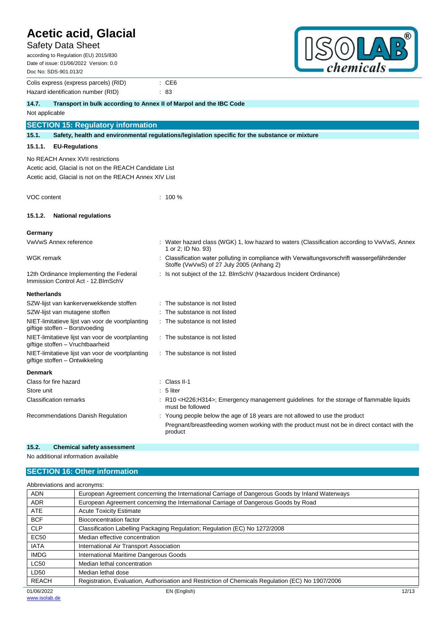### Safety Data Sheet

| <b>Acetic acid, Glacial</b><br><b>Safety Data Sheet</b><br>according to Regulation (EU) 2015/830<br>Date of issue: 01/06/2022 Version: 0.0<br>Doc No: SDS-901.013/2 |                                                                                                                                         | ®<br>chemicals                                                                               |
|---------------------------------------------------------------------------------------------------------------------------------------------------------------------|-----------------------------------------------------------------------------------------------------------------------------------------|----------------------------------------------------------------------------------------------|
| Colis express (express parcels) (RID)<br>Hazard identification number (RID)                                                                                         | $\therefore$ CE6<br>: 83                                                                                                                |                                                                                              |
| 14.7.<br>Transport in bulk according to Annex II of Marpol and the IBC Code                                                                                         |                                                                                                                                         |                                                                                              |
| Not applicable                                                                                                                                                      |                                                                                                                                         |                                                                                              |
| <b>SECTION 15: Regulatory information</b>                                                                                                                           |                                                                                                                                         |                                                                                              |
| 15.1.                                                                                                                                                               | Safety, health and environmental regulations/legislation specific for the substance or mixture                                          |                                                                                              |
| 15.1.1.<br><b>EU-Regulations</b>                                                                                                                                    |                                                                                                                                         |                                                                                              |
| No REACH Annex XVII restrictions<br>Acetic acid, Glacial is not on the REACH Candidate List<br>Acetic acid, Glacial is not on the REACH Annex XIV List              |                                                                                                                                         |                                                                                              |
| VOC content                                                                                                                                                         | $: 100 \%$                                                                                                                              |                                                                                              |
| <b>National regulations</b><br>15.1.2.                                                                                                                              |                                                                                                                                         |                                                                                              |
| Germany                                                                                                                                                             |                                                                                                                                         |                                                                                              |
| VwVwS Annex reference                                                                                                                                               | 1 or 2; ID No. 93)                                                                                                                      | Water hazard class (WGK) 1, low hazard to waters (Classification according to VwVwS, Annex   |
| WGK remark                                                                                                                                                          | Classification water polluting in compliance with Verwaltungsvorschrift wassergefährdender<br>Stoffe (VwVwS) of 27 July 2005 (Anhang 2) |                                                                                              |
| 12th Ordinance Implementing the Federal<br>Immission Control Act - 12. BlmSchV                                                                                      | Is not subject of the 12. BImSchV (Hazardous Incident Ordinance)                                                                        |                                                                                              |
| <b>Netherlands</b>                                                                                                                                                  |                                                                                                                                         |                                                                                              |
| SZW-lijst van kankerverwekkende stoffen                                                                                                                             | The substance is not listed                                                                                                             |                                                                                              |
| SZW-lijst van mutagene stoffen                                                                                                                                      | The substance is not listed                                                                                                             |                                                                                              |
| NIET-limitatieve lijst van voor de voortplanting<br>giftige stoffen - Borstvoeding                                                                                  | The substance is not listed                                                                                                             |                                                                                              |
| NIET-limitatieve lijst van voor de voortplanting<br>giftige stoffen - Vruchtbaarheid                                                                                | : The substance is not listed                                                                                                           |                                                                                              |
| NIET-limitatieve lijst van voor de voortplanting<br>giftige stoffen – Ontwikkeling                                                                                  | : The substance is not listed                                                                                                           |                                                                                              |
| <b>Denmark</b>                                                                                                                                                      |                                                                                                                                         |                                                                                              |
| Class for fire hazard                                                                                                                                               | Class II-1                                                                                                                              |                                                                                              |
| Store unit                                                                                                                                                          | 5 liter                                                                                                                                 |                                                                                              |
| <b>Classification remarks</b>                                                                                                                                       | : R10 <h226;h314>; Emergency management guidelines for the storage of flammable liquids<br/>must be followed</h226;h314>                |                                                                                              |
| Recommendations Danish Regulation                                                                                                                                   | : Young people below the age of 18 years are not allowed to use the product<br>product                                                  | Pregnant/breastfeeding women working with the product must not be in direct contact with the |

### **15.2. Chemical safety assessment**

No additional information available

### **SECTION 16: Other information**

| Abbreviations and acronyms: |                                                                                                   |
|-----------------------------|---------------------------------------------------------------------------------------------------|
| <b>ADN</b>                  | European Agreement concerning the International Carriage of Dangerous Goods by Inland Waterways   |
| <b>ADR</b>                  | European Agreement concerning the International Carriage of Dangerous Goods by Road               |
| <b>ATE</b>                  | <b>Acute Toxicity Estimate</b>                                                                    |
| <b>BCF</b>                  | <b>Bioconcentration factor</b>                                                                    |
| <b>CLP</b>                  | Classification Labelling Packaging Regulation; Regulation (EC) No 1272/2008                       |
| <b>EC50</b>                 | Median effective concentration                                                                    |
| <b>IATA</b>                 | International Air Transport Association                                                           |
| <b>IMDG</b>                 | International Maritime Dangerous Goods                                                            |
| <b>LC50</b>                 | Median lethal concentration                                                                       |
| LD50                        | Median lethal dose                                                                                |
| <b>REACH</b>                | Registration, Evaluation, Authorisation and Restriction of Chemicals Regulation (EC) No 1907/2006 |